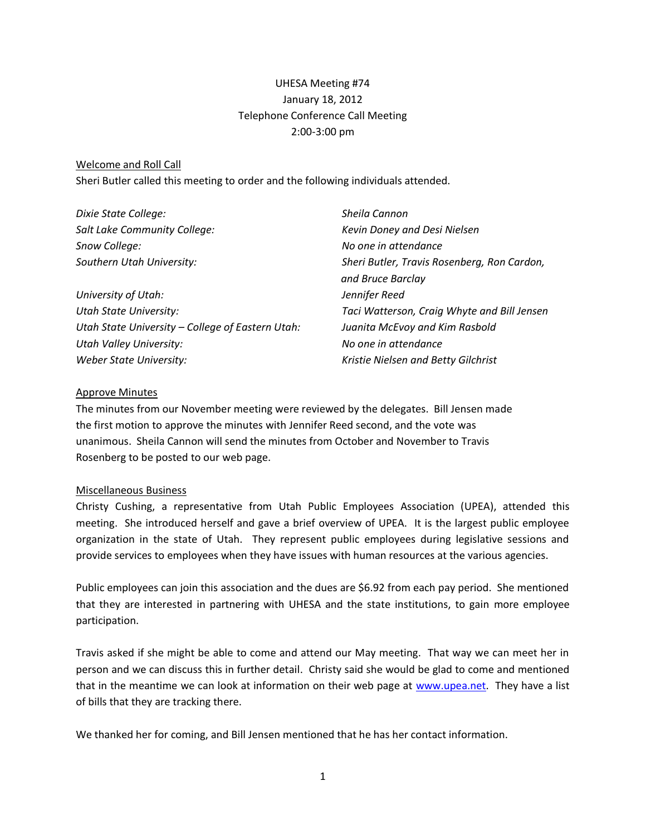# UHESA Meeting #74 January 18, 2012 Telephone Conference Call Meeting 2:00-3:00 pm

#### Welcome and Roll Call

Sheri Butler called this meeting to order and the following individuals attended.

| Dixie State College:                             | Sheila Cannon                               |
|--------------------------------------------------|---------------------------------------------|
| Salt Lake Community College:                     | Kevin Doney and Desi Nielsen                |
| Snow College:                                    | No one in attendance                        |
| Southern Utah University:                        | Sheri Butler, Travis Rosenberg, Ron Cardon, |
|                                                  | and Bruce Barclay                           |
| University of Utah:                              | Jennifer Reed                               |
| <b>Utah State University:</b>                    | Taci Watterson, Craig Whyte and Bill Jensen |
| Utah State University - College of Eastern Utah: | Juanita McEvoy and Kim Rasbold              |
| Utah Valley University:                          | No one in attendance                        |
| Weber State University:                          | Kristie Nielsen and Betty Gilchrist         |

#### Approve Minutes

The minutes from our November meeting were reviewed by the delegates. Bill Jensen made the first motion to approve the minutes with Jennifer Reed second, and the vote was unanimous. Sheila Cannon will send the minutes from October and November to Travis Rosenberg to be posted to our web page.

### Miscellaneous Business

Christy Cushing, a representative from Utah Public Employees Association (UPEA), attended this meeting. She introduced herself and gave a brief overview of UPEA. It is the largest public employee organization in the state of Utah. They represent public employees during legislative sessions and provide services to employees when they have issues with human resources at the various agencies.

Public employees can join this association and the dues are \$6.92 from each pay period. She mentioned that they are interested in partnering with UHESA and the state institutions, to gain more employee participation.

Travis asked if she might be able to come and attend our May meeting. That way we can meet her in person and we can discuss this in further detail. Christy said she would be glad to come and mentioned that in the meantime we can look at information on their web page at [www.upea.net.](http://www.upea.net/) They have a list of bills that they are tracking there.

We thanked her for coming, and Bill Jensen mentioned that he has her contact information.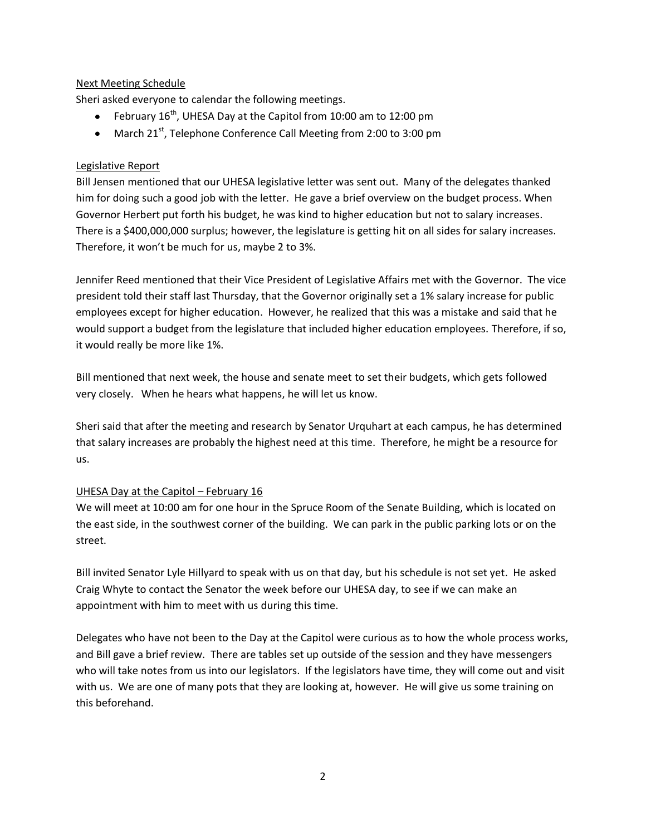# Next Meeting Schedule

Sheri asked everyone to calendar the following meetings.

- February  $16^{th}$ , UHESA Day at the Capitol from 10:00 am to 12:00 pm
- March 21<sup>st</sup>, Telephone Conference Call Meeting from 2:00 to 3:00 pm

### Legislative Report

Bill Jensen mentioned that our UHESA legislative letter was sent out. Many of the delegates thanked him for doing such a good job with the letter. He gave a brief overview on the budget process. When Governor Herbert put forth his budget, he was kind to higher education but not to salary increases. There is a \$400,000,000 surplus; however, the legislature is getting hit on all sides for salary increases. Therefore, it won't be much for us, maybe 2 to 3%.

Jennifer Reed mentioned that their Vice President of Legislative Affairs met with the Governor. The vice president told their staff last Thursday, that the Governor originally set a 1% salary increase for public employees except for higher education. However, he realized that this was a mistake and said that he would support a budget from the legislature that included higher education employees. Therefore, if so, it would really be more like 1%.

Bill mentioned that next week, the house and senate meet to set their budgets, which gets followed very closely. When he hears what happens, he will let us know.

Sheri said that after the meeting and research by Senator Urquhart at each campus, he has determined that salary increases are probably the highest need at this time. Therefore, he might be a resource for us.

### UHESA Day at the Capitol - February 16

We will meet at 10:00 am for one hour in the Spruce Room of the Senate Building, which is located on the east side, in the southwest corner of the building. We can park in the public parking lots or on the street.

Bill invited Senator Lyle Hillyard to speak with us on that day, but his schedule is not set yet. He asked Craig Whyte to contact the Senator the week before our UHESA day, to see if we can make an appointment with him to meet with us during this time.

Delegates who have not been to the Day at the Capitol were curious as to how the whole process works, and Bill gave a brief review. There are tables set up outside of the session and they have messengers who will take notes from us into our legislators. If the legislators have time, they will come out and visit with us. We are one of many pots that they are looking at, however. He will give us some training on this beforehand.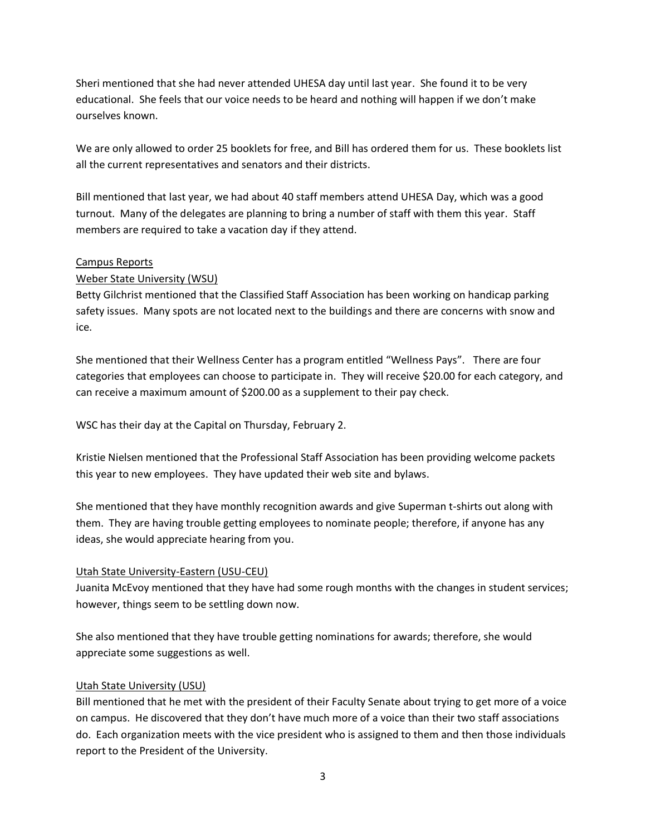Sheri mentioned that she had never attended UHESA day until last year. She found it to be very educational. She feels that our voice needs to be heard and nothing will happen if we don't make ourselves known.

We are only allowed to order 25 booklets for free, and Bill has ordered them for us. These booklets list all the current representatives and senators and their districts.

Bill mentioned that last year, we had about 40 staff members attend UHESA Day, which was a good turnout. Many of the delegates are planning to bring a number of staff with them this year. Staff members are required to take a vacation day if they attend.

### Campus Reports

# Weber State University (WSU)

Betty Gilchrist mentioned that the Classified Staff Association has been working on handicap parking safety issues. Many spots are not located next to the buildings and there are concerns with snow and ice.

She mentioned that their Wellness Center has a program entitled "Wellness Pays". There are four categories that employees can choose to participate in. They will receive \$20.00 for each category, and can receive a maximum amount of \$200.00 as a supplement to their pay check.

WSC has their day at the Capital on Thursday, February 2.

Kristie Nielsen mentioned that the Professional Staff Association has been providing welcome packets this year to new employees. They have updated their web site and bylaws.

She mentioned that they have monthly recognition awards and give Superman t-shirts out along with them. They are having trouble getting employees to nominate people; therefore, if anyone has any ideas, she would appreciate hearing from you.

# Utah State University-Eastern (USU-CEU)

Juanita McEvoy mentioned that they have had some rough months with the changes in student services; however, things seem to be settling down now.

She also mentioned that they have trouble getting nominations for awards; therefore, she would appreciate some suggestions as well.

### Utah State University (USU)

Bill mentioned that he met with the president of their Faculty Senate about trying to get more of a voice on campus. He discovered that they don't have much more of a voice than their two staff associations do. Each organization meets with the vice president who is assigned to them and then those individuals report to the President of the University.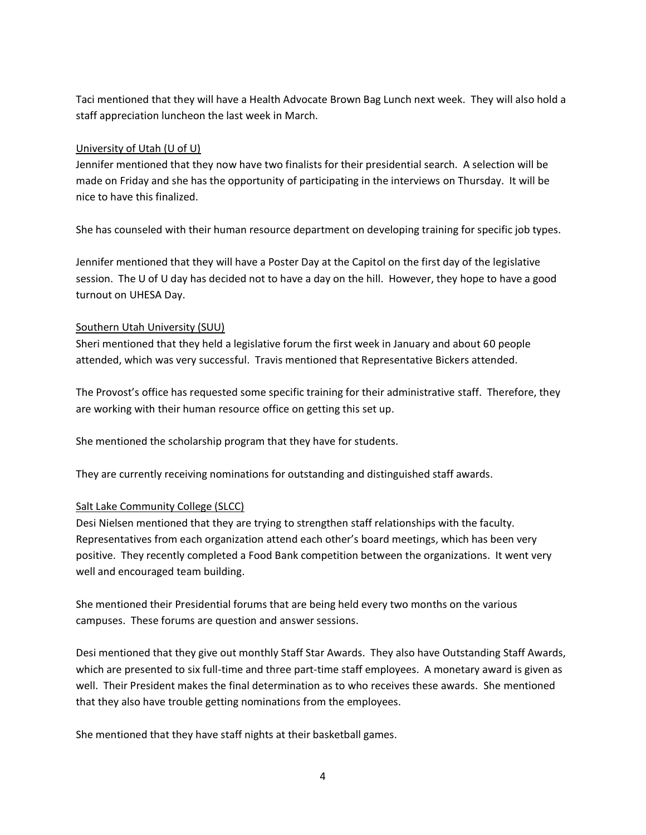Taci mentioned that they will have a Health Advocate Brown Bag Lunch next week. They will also hold a staff appreciation luncheon the last week in March.

### University of Utah (U of U)

Jennifer mentioned that they now have two finalists for their presidential search. A selection will be made on Friday and she has the opportunity of participating in the interviews on Thursday. It will be nice to have this finalized.

She has counseled with their human resource department on developing training for specific job types.

Jennifer mentioned that they will have a Poster Day at the Capitol on the first day of the legislative session. The U of U day has decided not to have a day on the hill. However, they hope to have a good turnout on UHESA Day.

### Southern Utah University (SUU)

Sheri mentioned that they held a legislative forum the first week in January and about 60 people attended, which was very successful. Travis mentioned that Representative Bickers attended.

The Provost's office has requested some specific training for their administrative staff. Therefore, they are working with their human resource office on getting this set up.

She mentioned the scholarship program that they have for students.

They are currently receiving nominations for outstanding and distinguished staff awards.

### Salt Lake Community College (SLCC)

Desi Nielsen mentioned that they are trying to strengthen staff relationships with the faculty. Representatives from each organization attend each other's board meetings, which has been very positive. They recently completed a Food Bank competition between the organizations. It went very well and encouraged team building.

She mentioned their Presidential forums that are being held every two months on the various campuses. These forums are question and answer sessions.

Desi mentioned that they give out monthly Staff Star Awards. They also have Outstanding Staff Awards, which are presented to six full-time and three part-time staff employees. A monetary award is given as well. Their President makes the final determination as to who receives these awards. She mentioned that they also have trouble getting nominations from the employees.

She mentioned that they have staff nights at their basketball games.